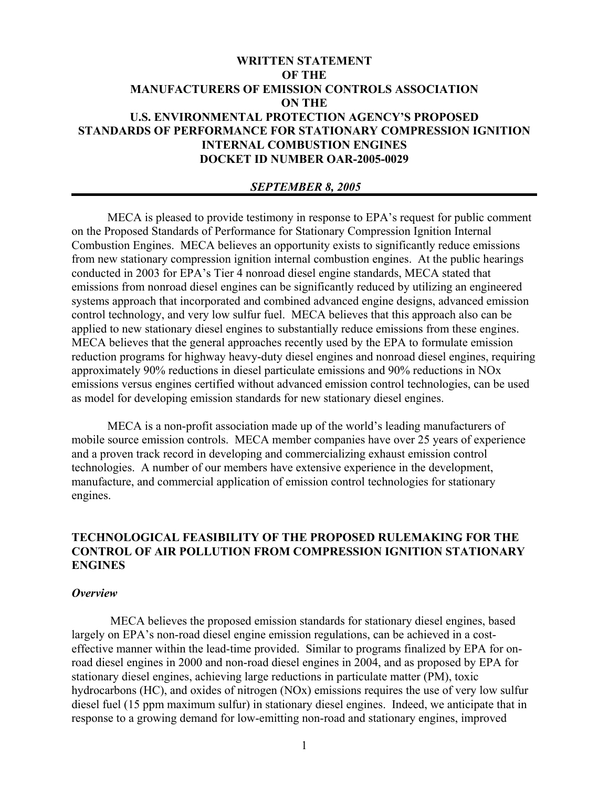# **WRITTEN STATEMENT OF THE MANUFACTURERS OF EMISSION CONTROLS ASSOCIATION ON THE U.S. ENVIRONMENTAL PROTECTION AGENCY'S PROPOSED STANDARDS OF PERFORMANCE FOR STATIONARY COMPRESSION IGNITION INTERNAL COMBUSTION ENGINES DOCKET ID NUMBER OAR-2005-0029**

### *SEPTEMBER 8, 2005*

MECA is pleased to provide testimony in response to EPA's request for public comment on the Proposed Standards of Performance for Stationary Compression Ignition Internal Combustion Engines. MECA believes an opportunity exists to significantly reduce emissions from new stationary compression ignition internal combustion engines. At the public hearings conducted in 2003 for EPA's Tier 4 nonroad diesel engine standards, MECA stated that emissions from nonroad diesel engines can be significantly reduced by utilizing an engineered systems approach that incorporated and combined advanced engine designs, advanced emission control technology, and very low sulfur fuel. MECA believes that this approach also can be applied to new stationary diesel engines to substantially reduce emissions from these engines. MECA believes that the general approaches recently used by the EPA to formulate emission reduction programs for highway heavy-duty diesel engines and nonroad diesel engines, requiring approximately 90% reductions in diesel particulate emissions and 90% reductions in NOx emissions versus engines certified without advanced emission control technologies, can be used as model for developing emission standards for new stationary diesel engines.

MECA is a non-profit association made up of the world's leading manufacturers of mobile source emission controls. MECA member companies have over 25 years of experience and a proven track record in developing and commercializing exhaust emission control technologies. A number of our members have extensive experience in the development, manufacture, and commercial application of emission control technologies for stationary engines.

## **TECHNOLOGICAL FEASIBILITY OF THE PROPOSED RULEMAKING FOR THE CONTROL OF AIR POLLUTION FROM COMPRESSION IGNITION STATIONARY ENGINES**

#### *Overview*

 MECA believes the proposed emission standards for stationary diesel engines, based largely on EPA's non-road diesel engine emission regulations, can be achieved in a costeffective manner within the lead-time provided. Similar to programs finalized by EPA for onroad diesel engines in 2000 and non-road diesel engines in 2004, and as proposed by EPA for stationary diesel engines, achieving large reductions in particulate matter (PM), toxic hydrocarbons (HC), and oxides of nitrogen (NOx) emissions requires the use of very low sulfur diesel fuel (15 ppm maximum sulfur) in stationary diesel engines. Indeed, we anticipate that in response to a growing demand for low-emitting non-road and stationary engines, improved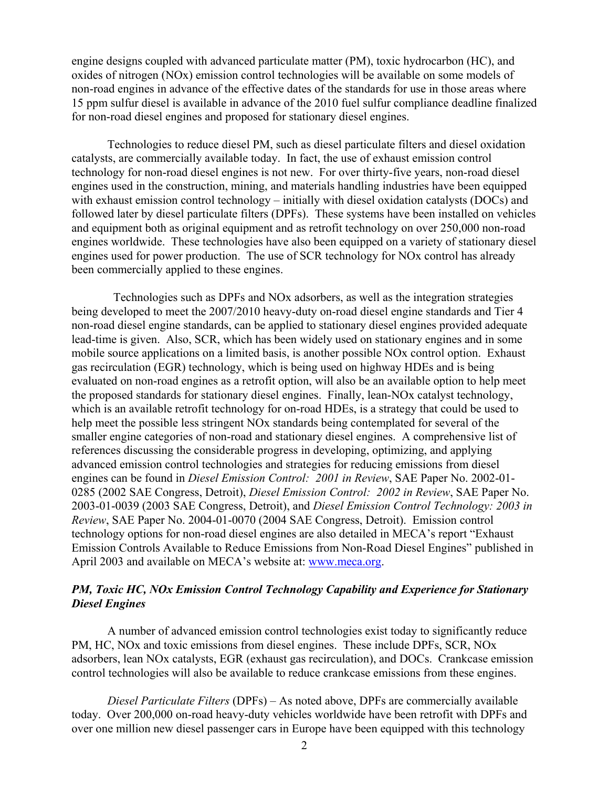engine designs coupled with advanced particulate matter (PM), toxic hydrocarbon (HC), and oxides of nitrogen (NOx) emission control technologies will be available on some models of non-road engines in advance of the effective dates of the standards for use in those areas where 15 ppm sulfur diesel is available in advance of the 2010 fuel sulfur compliance deadline finalized for non-road diesel engines and proposed for stationary diesel engines.

Technologies to reduce diesel PM, such as diesel particulate filters and diesel oxidation catalysts, are commercially available today. In fact, the use of exhaust emission control technology for non-road diesel engines is not new. For over thirty-five years, non-road diesel engines used in the construction, mining, and materials handling industries have been equipped with exhaust emission control technology – initially with diesel oxidation catalysts (DOCs) and followed later by diesel particulate filters (DPFs). These systems have been installed on vehicles and equipment both as original equipment and as retrofit technology on over 250,000 non-road engines worldwide. These technologies have also been equipped on a variety of stationary diesel engines used for power production. The use of SCR technology for NOx control has already been commercially applied to these engines.

 Technologies such as DPFs and NOx adsorbers, as well as the integration strategies being developed to meet the 2007/2010 heavy-duty on-road diesel engine standards and Tier 4 non-road diesel engine standards, can be applied to stationary diesel engines provided adequate lead-time is given. Also, SCR, which has been widely used on stationary engines and in some mobile source applications on a limited basis, is another possible NOx control option. Exhaust gas recirculation (EGR) technology, which is being used on highway HDEs and is being evaluated on non-road engines as a retrofit option, will also be an available option to help meet the proposed standards for stationary diesel engines. Finally, lean-NOx catalyst technology, which is an available retrofit technology for on-road HDEs, is a strategy that could be used to help meet the possible less stringent NOx standards being contemplated for several of the smaller engine categories of non-road and stationary diesel engines. A comprehensive list of references discussing the considerable progress in developing, optimizing, and applying advanced emission control technologies and strategies for reducing emissions from diesel engines can be found in *Diesel Emission Control: 2001 in Review*, SAE Paper No. 2002-01- 0285 (2002 SAE Congress, Detroit), *Diesel Emission Control: 2002 in Review*, SAE Paper No. 2003-01-0039 (2003 SAE Congress, Detroit), and *Diesel Emission Control Technology: 2003 in Review*, SAE Paper No. 2004-01-0070 (2004 SAE Congress, Detroit). Emission control technology options for non-road diesel engines are also detailed in MECA's report "Exhaust Emission Controls Available to Reduce Emissions from Non-Road Diesel Engines" published in April 2003 and available on MECA's website at: www.meca.org.

## *PM, Toxic HC, NOx Emission Control Technology Capability and Experience for Stationary Diesel Engines*

A number of advanced emission control technologies exist today to significantly reduce PM, HC, NOx and toxic emissions from diesel engines. These include DPFs, SCR, NOx adsorbers, lean NOx catalysts, EGR (exhaust gas recirculation), and DOCs. Crankcase emission control technologies will also be available to reduce crankcase emissions from these engines.

*Diesel Particulate Filters* (DPFs) – As noted above, DPFs are commercially available today. Over 200,000 on-road heavy-duty vehicles worldwide have been retrofit with DPFs and over one million new diesel passenger cars in Europe have been equipped with this technology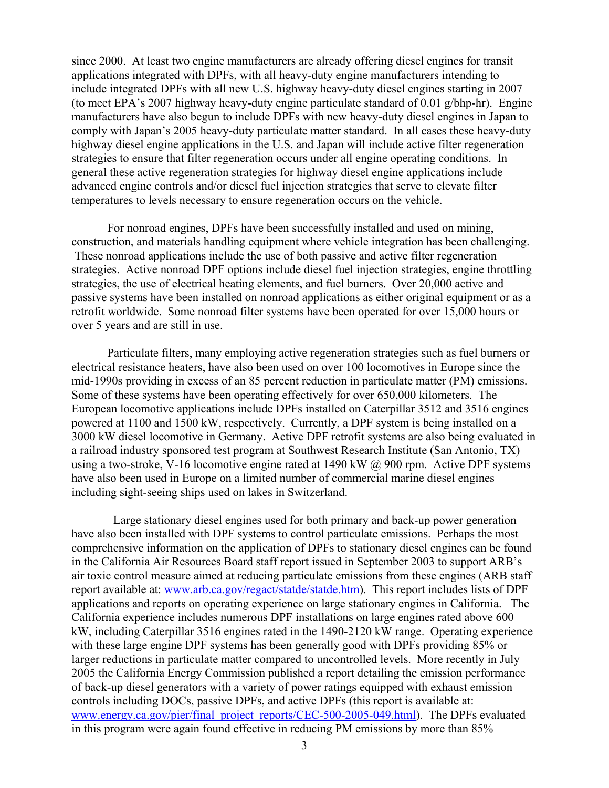since 2000. At least two engine manufacturers are already offering diesel engines for transit applications integrated with DPFs, with all heavy-duty engine manufacturers intending to include integrated DPFs with all new U.S. highway heavy-duty diesel engines starting in 2007 (to meet EPA's 2007 highway heavy-duty engine particulate standard of 0.01 g/bhp-hr). Engine manufacturers have also begun to include DPFs with new heavy-duty diesel engines in Japan to comply with Japan's 2005 heavy-duty particulate matter standard. In all cases these heavy-duty highway diesel engine applications in the U.S. and Japan will include active filter regeneration strategies to ensure that filter regeneration occurs under all engine operating conditions. In general these active regeneration strategies for highway diesel engine applications include advanced engine controls and/or diesel fuel injection strategies that serve to elevate filter temperatures to levels necessary to ensure regeneration occurs on the vehicle.

For nonroad engines, DPFs have been successfully installed and used on mining, construction, and materials handling equipment where vehicle integration has been challenging. These nonroad applications include the use of both passive and active filter regeneration strategies. Active nonroad DPF options include diesel fuel injection strategies, engine throttling strategies, the use of electrical heating elements, and fuel burners. Over 20,000 active and passive systems have been installed on nonroad applications as either original equipment or as a retrofit worldwide. Some nonroad filter systems have been operated for over 15,000 hours or over 5 years and are still in use.

Particulate filters, many employing active regeneration strategies such as fuel burners or electrical resistance heaters, have also been used on over 100 locomotives in Europe since the mid-1990s providing in excess of an 85 percent reduction in particulate matter (PM) emissions. Some of these systems have been operating effectively for over 650,000 kilometers. The European locomotive applications include DPFs installed on Caterpillar 3512 and 3516 engines powered at 1100 and 1500 kW, respectively. Currently, a DPF system is being installed on a 3000 kW diesel locomotive in Germany. Active DPF retrofit systems are also being evaluated in a railroad industry sponsored test program at Southwest Research Institute (San Antonio, TX) using a two-stroke, V-16 locomotive engine rated at 1490 kW  $\omega$  900 rpm. Active DPF systems have also been used in Europe on a limited number of commercial marine diesel engines including sight-seeing ships used on lakes in Switzerland.

 Large stationary diesel engines used for both primary and back-up power generation have also been installed with DPF systems to control particulate emissions. Perhaps the most comprehensive information on the application of DPFs to stationary diesel engines can be found in the California Air Resources Board staff report issued in September 2003 to support ARB's air toxic control measure aimed at reducing particulate emissions from these engines (ARB staff report available at: www.arb.ca.gov/regact/statde/statde.htm). This report includes lists of DPF applications and reports on operating experience on large stationary engines in California. The California experience includes numerous DPF installations on large engines rated above 600 kW, including Caterpillar 3516 engines rated in the 1490-2120 kW range. Operating experience with these large engine DPF systems has been generally good with DPFs providing 85% or larger reductions in particulate matter compared to uncontrolled levels. More recently in July 2005 the California Energy Commission published a report detailing the emission performance of back-up diesel generators with a variety of power ratings equipped with exhaust emission controls including DOCs, passive DPFs, and active DPFs (this report is available at: www.energy.ca.gov/pier/final\_project\_reports/CEC-500-2005-049.html). The DPFs evaluated in this program were again found effective in reducing PM emissions by more than 85%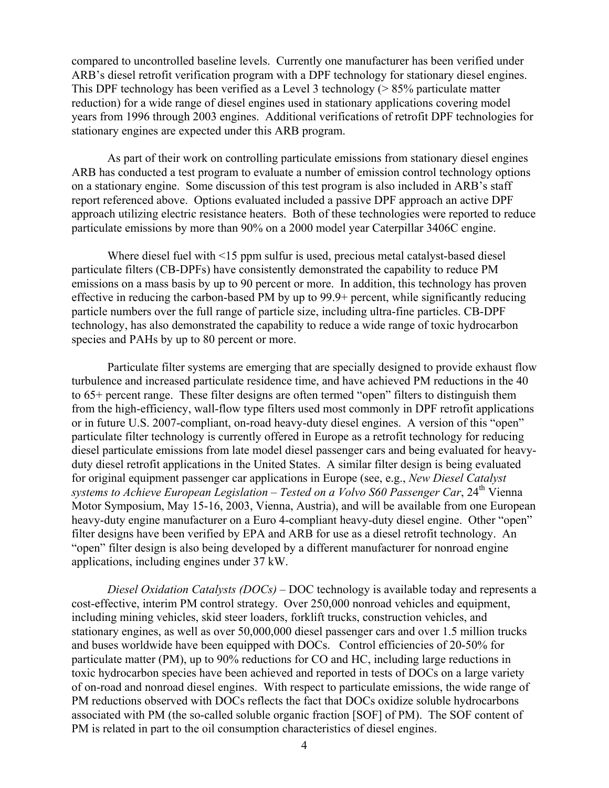compared to uncontrolled baseline levels. Currently one manufacturer has been verified under ARB's diesel retrofit verification program with a DPF technology for stationary diesel engines. This DPF technology has been verified as a Level 3 technology (> 85% particulate matter reduction) for a wide range of diesel engines used in stationary applications covering model years from 1996 through 2003 engines. Additional verifications of retrofit DPF technologies for stationary engines are expected under this ARB program.

As part of their work on controlling particulate emissions from stationary diesel engines ARB has conducted a test program to evaluate a number of emission control technology options on a stationary engine. Some discussion of this test program is also included in ARB's staff report referenced above. Options evaluated included a passive DPF approach an active DPF approach utilizing electric resistance heaters. Both of these technologies were reported to reduce particulate emissions by more than 90% on a 2000 model year Caterpillar 3406C engine.

Where diesel fuel with <15 ppm sulfur is used, precious metal catalyst-based diesel particulate filters (CB-DPFs) have consistently demonstrated the capability to reduce PM emissions on a mass basis by up to 90 percent or more. In addition, this technology has proven effective in reducing the carbon-based PM by up to 99.9+ percent, while significantly reducing particle numbers over the full range of particle size, including ultra-fine particles. CB-DPF technology, has also demonstrated the capability to reduce a wide range of toxic hydrocarbon species and PAHs by up to 80 percent or more.

Particulate filter systems are emerging that are specially designed to provide exhaust flow turbulence and increased particulate residence time, and have achieved PM reductions in the 40 to 65+ percent range. These filter designs are often termed "open" filters to distinguish them from the high-efficiency, wall-flow type filters used most commonly in DPF retrofit applications or in future U.S. 2007-compliant, on-road heavy-duty diesel engines. A version of this "open" particulate filter technology is currently offered in Europe as a retrofit technology for reducing diesel particulate emissions from late model diesel passenger cars and being evaluated for heavyduty diesel retrofit applications in the United States. A similar filter design is being evaluated for original equipment passenger car applications in Europe (see, e.g., *New Diesel Catalyst*  systems to Achieve European Legislation – Tested on a Volvo S60 Passenger Car, 24<sup>th</sup> Vienna Motor Symposium, May 15-16, 2003, Vienna, Austria), and will be available from one European heavy-duty engine manufacturer on a Euro 4-compliant heavy-duty diesel engine. Other "open" filter designs have been verified by EPA and ARB for use as a diesel retrofit technology. An "open" filter design is also being developed by a different manufacturer for nonroad engine applications, including engines under 37 kW.

*Diesel Oxidation Catalysts (DOCs)* – DOC technology is available today and represents a cost-effective, interim PM control strategy. Over 250,000 nonroad vehicles and equipment, including mining vehicles, skid steer loaders, forklift trucks, construction vehicles, and stationary engines, as well as over 50,000,000 diesel passenger cars and over 1.5 million trucks and buses worldwide have been equipped with DOCs. Control efficiencies of 20-50% for particulate matter (PM), up to 90% reductions for CO and HC, including large reductions in toxic hydrocarbon species have been achieved and reported in tests of DOCs on a large variety of on-road and nonroad diesel engines. With respect to particulate emissions, the wide range of PM reductions observed with DOCs reflects the fact that DOCs oxidize soluble hydrocarbons associated with PM (the so-called soluble organic fraction [SOF] of PM). The SOF content of PM is related in part to the oil consumption characteristics of diesel engines.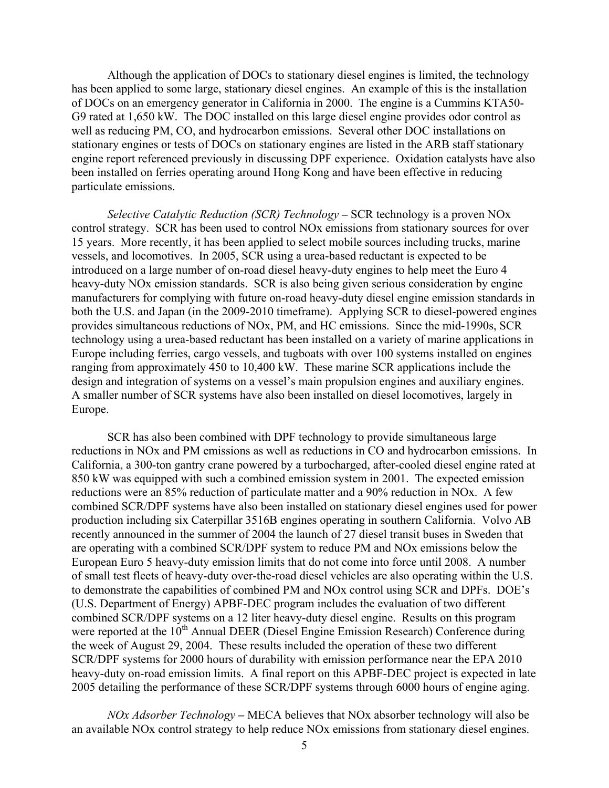Although the application of DOCs to stationary diesel engines is limited, the technology has been applied to some large, stationary diesel engines. An example of this is the installation of DOCs on an emergency generator in California in 2000. The engine is a Cummins KTA50- G9 rated at 1,650 kW. The DOC installed on this large diesel engine provides odor control as well as reducing PM, CO, and hydrocarbon emissions. Several other DOC installations on stationary engines or tests of DOCs on stationary engines are listed in the ARB staff stationary engine report referenced previously in discussing DPF experience. Oxidation catalysts have also been installed on ferries operating around Hong Kong and have been effective in reducing particulate emissions.

*Selective Catalytic Reduction (SCR) Technology* **–** SCR technology is a proven NOx control strategy. SCR has been used to control NOx emissions from stationary sources for over 15 years. More recently, it has been applied to select mobile sources including trucks, marine vessels, and locomotives. In 2005, SCR using a urea-based reductant is expected to be introduced on a large number of on-road diesel heavy-duty engines to help meet the Euro 4 heavy-duty NOx emission standards. SCR is also being given serious consideration by engine manufacturers for complying with future on-road heavy-duty diesel engine emission standards in both the U.S. and Japan (in the 2009-2010 timeframe). Applying SCR to diesel-powered engines provides simultaneous reductions of NOx, PM, and HC emissions. Since the mid-1990s, SCR technology using a urea-based reductant has been installed on a variety of marine applications in Europe including ferries, cargo vessels, and tugboats with over 100 systems installed on engines ranging from approximately 450 to 10,400 kW. These marine SCR applications include the design and integration of systems on a vessel's main propulsion engines and auxiliary engines. A smaller number of SCR systems have also been installed on diesel locomotives, largely in Europe.

SCR has also been combined with DPF technology to provide simultaneous large reductions in NOx and PM emissions as well as reductions in CO and hydrocarbon emissions. In California, a 300-ton gantry crane powered by a turbocharged, after-cooled diesel engine rated at 850 kW was equipped with such a combined emission system in 2001. The expected emission reductions were an 85% reduction of particulate matter and a 90% reduction in NOx. A few combined SCR/DPF systems have also been installed on stationary diesel engines used for power production including six Caterpillar 3516B engines operating in southern California. Volvo AB recently announced in the summer of 2004 the launch of 27 diesel transit buses in Sweden that are operating with a combined SCR/DPF system to reduce PM and NOx emissions below the European Euro 5 heavy-duty emission limits that do not come into force until 2008. A number of small test fleets of heavy-duty over-the-road diesel vehicles are also operating within the U.S. to demonstrate the capabilities of combined PM and NOx control using SCR and DPFs. DOE's (U.S. Department of Energy) APBF-DEC program includes the evaluation of two different combined SCR/DPF systems on a 12 liter heavy-duty diesel engine. Results on this program were reported at the 10<sup>th</sup> Annual DEER (Diesel Engine Emission Research) Conference during the week of August 29, 2004. These results included the operation of these two different SCR/DPF systems for 2000 hours of durability with emission performance near the EPA 2010 heavy-duty on-road emission limits. A final report on this APBF-DEC project is expected in late 2005 detailing the performance of these SCR/DPF systems through 6000 hours of engine aging.

*NOx Adsorber Technology –* MECA believes that NOx absorber technology will also be an available NOx control strategy to help reduce NOx emissions from stationary diesel engines.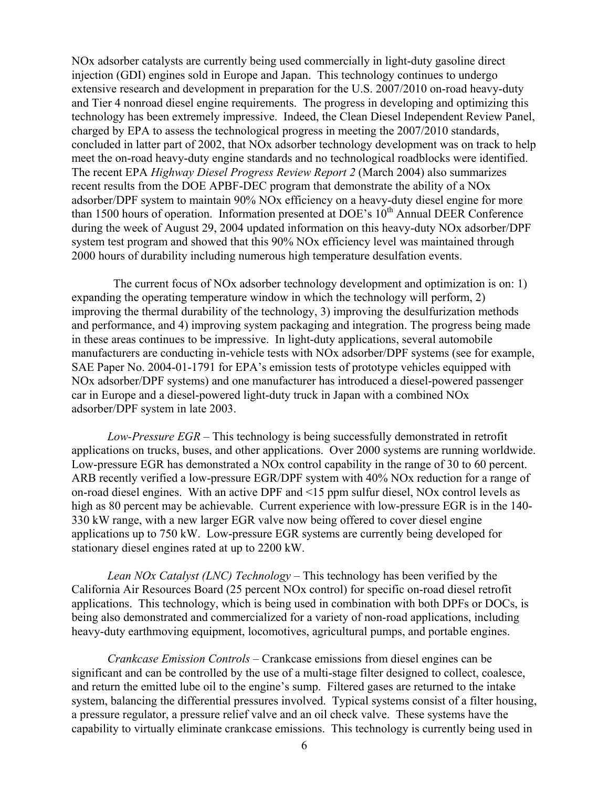NOx adsorber catalysts are currently being used commercially in light-duty gasoline direct injection (GDI) engines sold in Europe and Japan. This technology continues to undergo extensive research and development in preparation for the U.S. 2007/2010 on-road heavy-duty and Tier 4 nonroad diesel engine requirements. The progress in developing and optimizing this technology has been extremely impressive. Indeed, the Clean Diesel Independent Review Panel, charged by EPA to assess the technological progress in meeting the 2007/2010 standards, concluded in latter part of 2002, that NOx adsorber technology development was on track to help meet the on-road heavy-duty engine standards and no technological roadblocks were identified. The recent EPA *Highway Diesel Progress Review Report 2* (March 2004) also summarizes recent results from the DOE APBF-DEC program that demonstrate the ability of a NOx adsorber/DPF system to maintain 90% NOx efficiency on a heavy-duty diesel engine for more than 1500 hours of operation. Information presented at DOE's 10<sup>th</sup> Annual DEER Conference during the week of August 29, 2004 updated information on this heavy-duty NOx adsorber/DPF system test program and showed that this 90% NOx efficiency level was maintained through 2000 hours of durability including numerous high temperature desulfation events.

 The current focus of NOx adsorber technology development and optimization is on: 1) expanding the operating temperature window in which the technology will perform, 2) improving the thermal durability of the technology, 3) improving the desulfurization methods and performance, and 4) improving system packaging and integration. The progress being made in these areas continues to be impressive. In light-duty applications, several automobile manufacturers are conducting in-vehicle tests with NOx adsorber/DPF systems (see for example, SAE Paper No. 2004-01-1791 for EPA's emission tests of prototype vehicles equipped with NOx adsorber/DPF systems) and one manufacturer has introduced a diesel-powered passenger car in Europe and a diesel-powered light-duty truck in Japan with a combined NOx adsorber/DPF system in late 2003.

*Low-Pressure EGR* – This technology is being successfully demonstrated in retrofit applications on trucks, buses, and other applications. Over 2000 systems are running worldwide. Low-pressure EGR has demonstrated a NOx control capability in the range of 30 to 60 percent. ARB recently verified a low-pressure EGR/DPF system with 40% NOx reduction for a range of on-road diesel engines. With an active DPF and <15 ppm sulfur diesel, NOx control levels as high as 80 percent may be achievable. Current experience with low-pressure EGR is in the 140- 330 kW range, with a new larger EGR valve now being offered to cover diesel engine applications up to 750 kW. Low-pressure EGR systems are currently being developed for stationary diesel engines rated at up to 2200 kW.

*Lean NOx Catalyst (LNC) Technology* – This technology has been verified by the California Air Resources Board (25 percent NOx control) for specific on-road diesel retrofit applications. This technology, which is being used in combination with both DPFs or DOCs, is being also demonstrated and commercialized for a variety of non-road applications, including heavy-duty earthmoving equipment, locomotives, agricultural pumps, and portable engines.

*Crankcase Emission Controls* – Crankcase emissions from diesel engines can be significant and can be controlled by the use of a multi-stage filter designed to collect, coalesce, and return the emitted lube oil to the engine's sump. Filtered gases are returned to the intake system, balancing the differential pressures involved. Typical systems consist of a filter housing, a pressure regulator, a pressure relief valve and an oil check valve. These systems have the capability to virtually eliminate crankcase emissions. This technology is currently being used in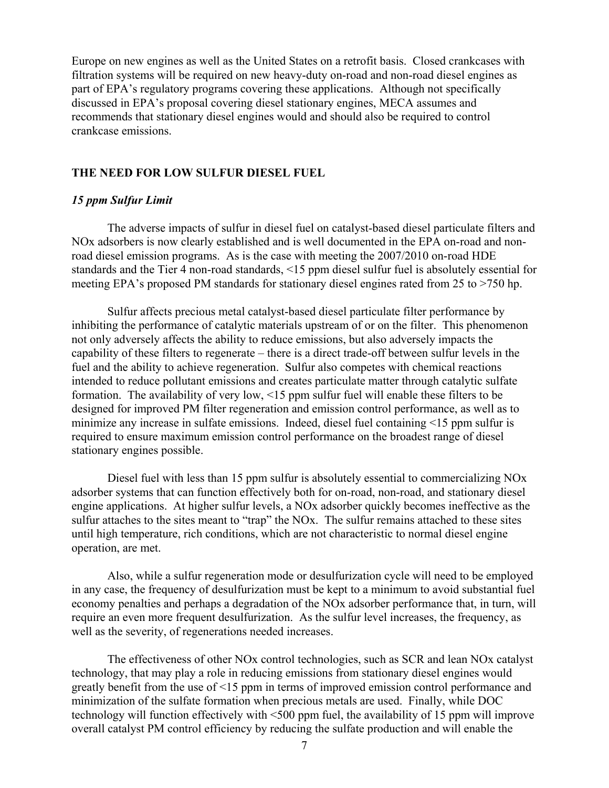Europe on new engines as well as the United States on a retrofit basis. Closed crankcases with filtration systems will be required on new heavy-duty on-road and non-road diesel engines as part of EPA's regulatory programs covering these applications. Although not specifically discussed in EPA's proposal covering diesel stationary engines, MECA assumes and recommends that stationary diesel engines would and should also be required to control crankcase emissions.

#### **THE NEED FOR LOW SULFUR DIESEL FUEL**

#### *15 ppm Sulfur Limit*

The adverse impacts of sulfur in diesel fuel on catalyst-based diesel particulate filters and NOx adsorbers is now clearly established and is well documented in the EPA on-road and nonroad diesel emission programs. As is the case with meeting the 2007/2010 on-road HDE standards and the Tier 4 non-road standards, <15 ppm diesel sulfur fuel is absolutely essential for meeting EPA's proposed PM standards for stationary diesel engines rated from 25 to >750 hp.

Sulfur affects precious metal catalyst-based diesel particulate filter performance by inhibiting the performance of catalytic materials upstream of or on the filter. This phenomenon not only adversely affects the ability to reduce emissions, but also adversely impacts the capability of these filters to regenerate – there is a direct trade-off between sulfur levels in the fuel and the ability to achieve regeneration. Sulfur also competes with chemical reactions intended to reduce pollutant emissions and creates particulate matter through catalytic sulfate formation. The availability of very low, <15 ppm sulfur fuel will enable these filters to be designed for improved PM filter regeneration and emission control performance, as well as to minimize any increase in sulfate emissions. Indeed, diesel fuel containing <15 ppm sulfur is required to ensure maximum emission control performance on the broadest range of diesel stationary engines possible.

Diesel fuel with less than 15 ppm sulfur is absolutely essential to commercializing NOx adsorber systems that can function effectively both for on-road, non-road, and stationary diesel engine applications. At higher sulfur levels, a NOx adsorber quickly becomes ineffective as the sulfur attaches to the sites meant to "trap" the NOx. The sulfur remains attached to these sites until high temperature, rich conditions, which are not characteristic to normal diesel engine operation, are met.

Also, while a sulfur regeneration mode or desulfurization cycle will need to be employed in any case, the frequency of desulfurization must be kept to a minimum to avoid substantial fuel economy penalties and perhaps a degradation of the NOx adsorber performance that, in turn, will require an even more frequent desulfurization. As the sulfur level increases, the frequency, as well as the severity, of regenerations needed increases.

The effectiveness of other NOx control technologies, such as SCR and lean NOx catalyst technology, that may play a role in reducing emissions from stationary diesel engines would greatly benefit from the use of <15 ppm in terms of improved emission control performance and minimization of the sulfate formation when precious metals are used. Finally, while DOC technology will function effectively with <500 ppm fuel, the availability of 15 ppm will improve overall catalyst PM control efficiency by reducing the sulfate production and will enable the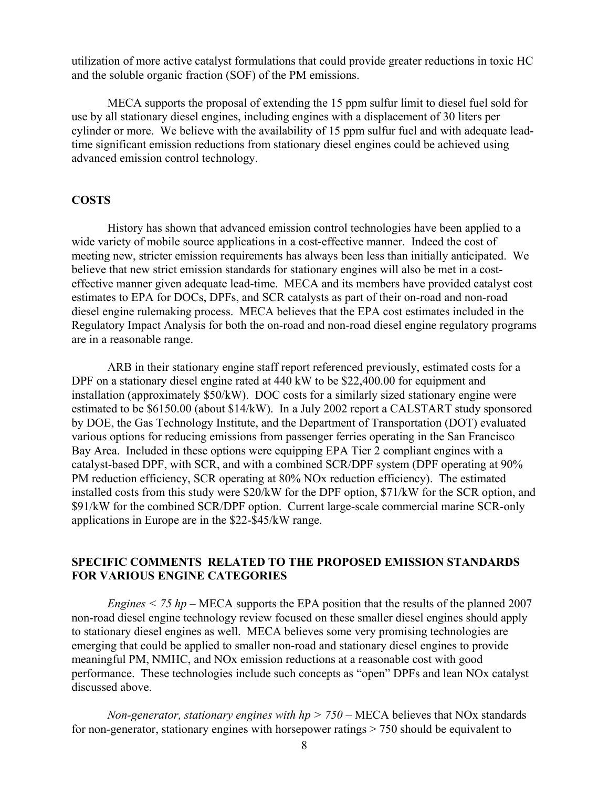utilization of more active catalyst formulations that could provide greater reductions in toxic HC and the soluble organic fraction (SOF) of the PM emissions.

MECA supports the proposal of extending the 15 ppm sulfur limit to diesel fuel sold for use by all stationary diesel engines, including engines with a displacement of 30 liters per cylinder or more. We believe with the availability of 15 ppm sulfur fuel and with adequate leadtime significant emission reductions from stationary diesel engines could be achieved using advanced emission control technology.

#### **COSTS**

History has shown that advanced emission control technologies have been applied to a wide variety of mobile source applications in a cost-effective manner. Indeed the cost of meeting new, stricter emission requirements has always been less than initially anticipated. We believe that new strict emission standards for stationary engines will also be met in a costeffective manner given adequate lead-time. MECA and its members have provided catalyst cost estimates to EPA for DOCs, DPFs, and SCR catalysts as part of their on-road and non-road diesel engine rulemaking process. MECA believes that the EPA cost estimates included in the Regulatory Impact Analysis for both the on-road and non-road diesel engine regulatory programs are in a reasonable range.

ARB in their stationary engine staff report referenced previously, estimated costs for a DPF on a stationary diesel engine rated at 440 kW to be \$22,400.00 for equipment and installation (approximately \$50/kW). DOC costs for a similarly sized stationary engine were estimated to be \$6150.00 (about \$14/kW). In a July 2002 report a CALSTART study sponsored by DOE, the Gas Technology Institute, and the Department of Transportation (DOT) evaluated various options for reducing emissions from passenger ferries operating in the San Francisco Bay Area. Included in these options were equipping EPA Tier 2 compliant engines with a catalyst-based DPF, with SCR, and with a combined SCR/DPF system (DPF operating at 90% PM reduction efficiency, SCR operating at 80% NOx reduction efficiency). The estimated installed costs from this study were \$20/kW for the DPF option, \$71/kW for the SCR option, and \$91/kW for the combined SCR/DPF option. Current large-scale commercial marine SCR-only applications in Europe are in the \$22-\$45/kW range.

## **SPECIFIC COMMENTS RELATED TO THE PROPOSED EMISSION STANDARDS FOR VARIOUS ENGINE CATEGORIES**

*Engines < 75 hp* – MECA supports the EPA position that the results of the planned 2007 non-road diesel engine technology review focused on these smaller diesel engines should apply to stationary diesel engines as well. MECA believes some very promising technologies are emerging that could be applied to smaller non-road and stationary diesel engines to provide meaningful PM, NMHC, and NOx emission reductions at a reasonable cost with good performance. These technologies include such concepts as "open" DPFs and lean NOx catalyst discussed above.

*Non-generator, stationary engines with hp > 750* – MECA believes that NOx standards for non-generator, stationary engines with horsepower ratings > 750 should be equivalent to